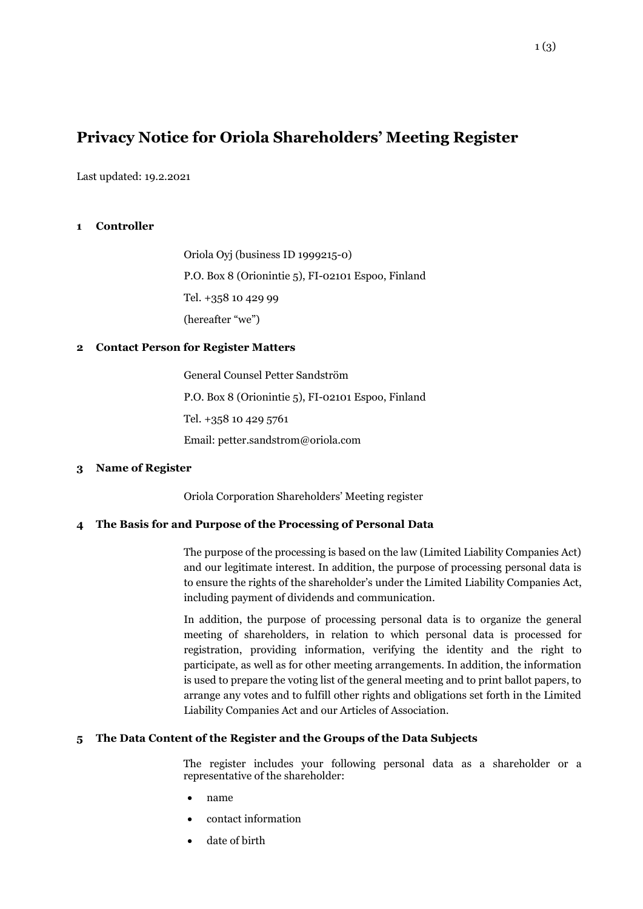# **Privacy Notice for Oriola Shareholders' Meeting Register**

Last updated: 19.2.2021

#### **1 Controller**

Oriola Oyj (business ID 1999215-0) P.O. Box 8 (Orionintie 5), FI-02101 Espoo, Finland Tel. +358 10 429 99 (hereafter "we")

#### **2 Contact Person for Register Matters**

General Counsel Petter Sandström P.O. Box 8 (Orionintie 5), FI-02101 Espoo, Finland Tel. +358 10 429 5761 Email: petter.sandstrom@oriola.com

#### **3 Name of Register**

Oriola Corporation Shareholders' Meeting register

#### **4 The Basis for and Purpose of the Processing of Personal Data**

The purpose of the processing is based on the law (Limited Liability Companies Act) and our legitimate interest. In addition, the purpose of processing personal data is to ensure the rights of the shareholder's under the Limited Liability Companies Act, including payment of dividends and communication.

In addition, the purpose of processing personal data is to organize the general meeting of shareholders, in relation to which personal data is processed for registration, providing information, verifying the identity and the right to participate, as well as for other meeting arrangements. In addition, the information is used to prepare the voting list of the general meeting and to print ballot papers, to arrange any votes and to fulfill other rights and obligations set forth in the Limited Liability Companies Act and our Articles of Association.

#### **5 The Data Content of the Register and the Groups of the Data Subjects**

The register includes your following personal data as a shareholder or a representative of the shareholder:

- name
- contact information
- date of birth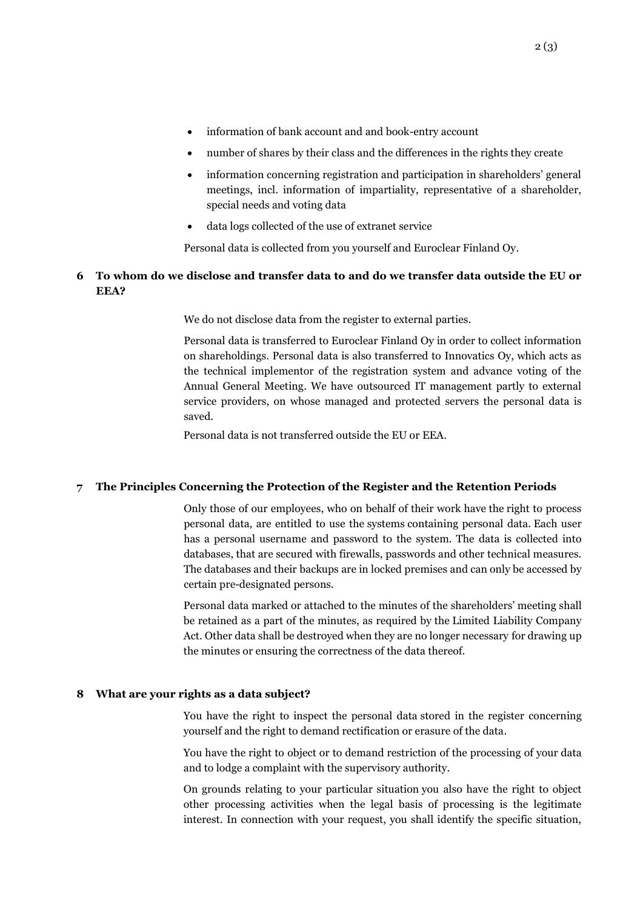- information of bank account and and book-entry account
- number of shares by their class and the differences in the rights they create
- information concerning registration and participation in shareholders' general meetings, incl. information of impartiality, representative of a shareholder, special needs and voting data
- data logs collected of the use of extranet service

Personal data is collected from you yourself and Euroclear Finland Oy.

## **6 To whom do we disclose and transfer data to and do we transfer data outside the EU or EEA?**

We do not disclose data from the register to external parties.

Personal data is transferred to Euroclear Finland Oy in order to collect information on shareholdings. Personal data is also transferred to Innovatics Oy, which acts as the technical implementor of the registration system and advance voting of the Annual General Meeting. We have outsourced IT management partly to external service providers, on whose managed and protected servers the personal data is saved.

Personal data is not transferred outside the EU or EEA.

#### **7 The Principles Concerning the Protection of the Register and the Retention Periods**

Only those of our employees, who on behalf of their work have the right to process personal data, are entitled to use the systems containing personal data. Each user has a personal username and password to the system. The data is collected into databases, that are secured with firewalls, passwords and other technical measures. The databases and their backups are in locked premises and can only be accessed by certain pre-designated persons.

Personal data marked or attached to the minutes of the shareholders' meeting shall be retained as a part of the minutes, as required by the Limited Liability Company Act. Other data shall be destroyed when they are no longer necessary for drawing up the minutes or ensuring the correctness of the data thereof.

#### **8 What are your rights as a data subject?**

You have the right to inspect the personal data stored in the register concerning yourself and the right to demand rectification or erasure of the data.

You have the right to object or to demand restriction of the processing of your data and to lodge a complaint with the supervisory authority.

On grounds relating to your particular situation you also have the right to object other processing activities when the legal basis of processing is the legitimate interest. In connection with your request, you shall identify the specific situation,